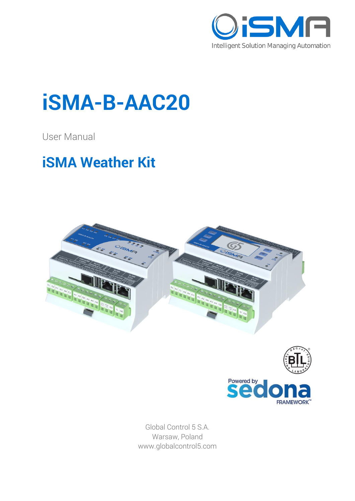

# **iSMA-B-AAC20**

User Manual

## **iSMA Weather Kit**





Global Control 5 S.A. Warsaw, Poland www.globalcontrol5.com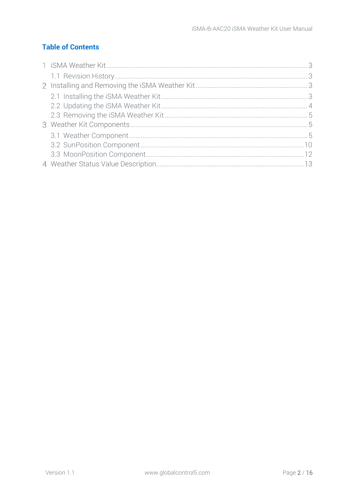#### **Table of Contents**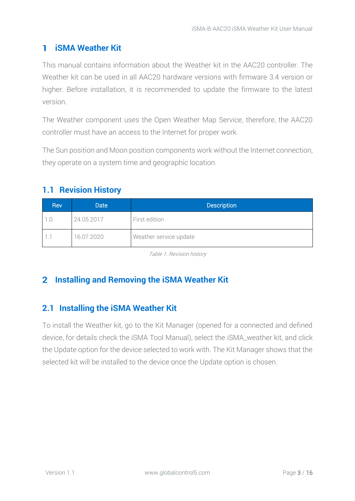#### <span id="page-2-0"></span>1 **iSMA Weather Kit**

This manual contains information about the Weather kit in the AAC20 controller. The Weather kit can be used in all AAC20 hardware versions with firmware 3.4 version or higher. Before installation, it is recommended to update the firmware to the latest version.

The Weather component uses the Open Weather Map Service, therefore, the AAC20 controller must have an access to the Internet for proper work.

The Sun position and Moon position components work without the Internet connection, they operate on a system time and geographic location.

#### <span id="page-2-1"></span>**1.1 Revision History**

| <b>Rev</b> | <b>Date</b> | <b>Description</b>     |
|------------|-------------|------------------------|
|            | 24.05.2017  | First edition          |
|            | 16.07.2020  | Weather service update |

Table 1. Revision history

### <span id="page-2-3"></span><span id="page-2-2"></span>**Installing and Removing the iSMA Weather Kit**

#### **2.1 Installing the iSMA Weather Kit**

To install the Weather kit, go to the Kit Manager (opened for a connected and defined device, for details check the iSMA Tool Manual), select the iSMA\_weather kit, and click the Update option for the device selected to work with. The Kit Manager shows that the selected kit will be installed to the device once the Update option is chosen.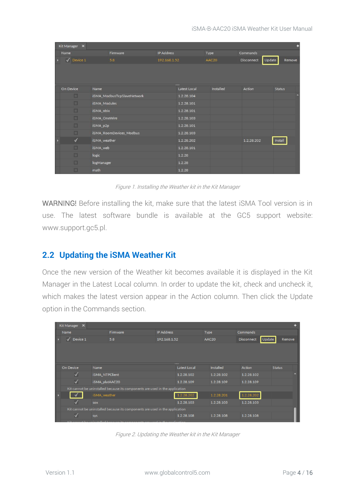| Kit Manager X     |                            |                   |                |           |                   |                  | m |
|-------------------|----------------------------|-------------------|----------------|-----------|-------------------|------------------|---|
| Name              | Firmware                   | <b>IP Address</b> |                | Type      | Commands          |                  |   |
| $\sqrt{$ Device 1 | 5.8                        | 192.168.1.52      |                | AAC20     | <b>Disconnect</b> | Update<br>Remove |   |
|                   |                            |                   |                |           |                   |                  |   |
|                   |                            |                   |                |           |                   |                  |   |
|                   |                            |                   | <b>BEEFERE</b> |           |                   |                  |   |
| On Device         | Name                       |                   | Latest Local   | Installed | Action            | <b>Status</b>    |   |
| o                 | iSMA_ModbusTcpSlaveNetwork |                   | 1.2.28.104     |           |                   |                  |   |
| E                 | iSMA_Modules               |                   | 1.2.28.101     |           |                   |                  |   |
| O                 | iSMA_obix                  |                   | 1.2.28.101     |           |                   |                  |   |
| $\Box$            | iSMA_OneWire               |                   | 1.2.28.103     |           |                   |                  |   |
| E                 | iSMA_p2p                   |                   | 1.2.28.101     |           |                   |                  |   |
| □                 | iSMA_RoomDevices_Modbus    |                   | 1.2.28.103     |           |                   |                  |   |
| $\checkmark$      | iSMA_weather               |                   | 1.2.28.202     |           | 1.2.28.202        | Install          |   |
| □                 | iSMA_web                   |                   | 1.2.28.101     |           |                   |                  |   |
| п                 | logic                      |                   | 1.2.28         |           |                   |                  |   |
| o                 | logManager                 |                   | 1.2.28         |           |                   |                  |   |
| O                 | math                       |                   | 1.2.28         |           |                   |                  |   |

Figure 1. Installing the Weather kit in the Kit Manager

WARNING! Before installing the kit, make sure that the latest iSMA Tool version is in use. The latest software bundle is available at the GC5 support website: [www.support.gc5.pl.](http://www.support.gc5.pl/)

#### <span id="page-3-0"></span>**2.2 Updating the iSMA Weather Kit**

Once the new version of the Weather kit becomes available it is displayed in the Kit Manager in the Latest Local column. In order to update the kit, check and uncheck it, which makes the latest version appear in the Action column. Then click the Update option in the Commands section.

| Kit Manager X            |                |                                                                                                     |                   |                         |                  |                   |        | 4             |
|--------------------------|----------------|-----------------------------------------------------------------------------------------------------|-------------------|-------------------------|------------------|-------------------|--------|---------------|
| Name                     |                | Firmware                                                                                            | <b>IP Address</b> |                         | <b>Type</b>      | <b>Commands</b>   |        |               |
| $\sqrt{ }$ Device 1      |                | 5.8                                                                                                 | 192.168.1.52      |                         | AAC20            | <b>Disconnect</b> | Update | Remove        |
|                          |                |                                                                                                     |                   |                         |                  |                   |        |               |
|                          |                |                                                                                                     |                   |                         |                  |                   |        |               |
|                          |                |                                                                                                     |                   |                         |                  |                   |        |               |
| <b>On Device</b>         | Name           |                                                                                                     |                   | <br><b>Latest Local</b> | <b>Installed</b> | <b>Action</b>     |        | <b>Status</b> |
| $\overline{\mathcal{A}}$ | iSMA_NTPClient |                                                                                                     |                   | 1.2.28.102              | 1.2.28.102       | 1.2.28.102        |        |               |
| $\overline{\mathcal{A}}$ | iSMA_platAAC20 |                                                                                                     |                   | 1.2.28.109              | 1.2.28.109       | 1.2.28.109        |        |               |
|                          |                | Kit cannot be uninstalled because its components are used in the application                        |                   |                         |                  |                   |        |               |
|                          | iSMA_weather   |                                                                                                     |                   | 1.2.28.202              | 1.2.28.201       | 1.2.28.202        |        |               |
| ⊽                        | sox            |                                                                                                     |                   | 1.2.28.103              | 1.2.28.103       | 1.2.28.103        |        |               |
|                          |                | Kit cannot be uninstalled because its components are used in the application                        |                   |                         |                  |                   |        |               |
| $\overline{\mathcal{A}}$ | sys            |                                                                                                     |                   | 1.2.28.108              | 1.2.28.108       | 1.2.28.108        |        |               |
|                          |                | ista personala leguna fonda le la la persona da la persona contra la consolida della persolidad del |                   |                         |                  |                   |        |               |

Figure 2. Updating the Weather kit in the Kit Manager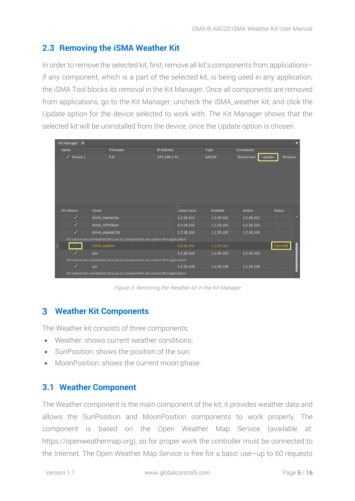#### <span id="page-4-0"></span>**2.3 Removing the iSMA Weather Kit**

In order to remove the selected kit, first, remove all kit's components from applications– if any component, which is a part of the selected kit, is being used in any application, the iSMA Tool blocks its removal in the Kit Manager. Once all components are removed from applications, go to the Kit Manager, uncheck the iSMA\_weather kit, and click the Update option for the device selected to work with. The Kit Manager shows that the selected kit will be uninstalled from the device, once the Update option is chosen.

|   | Kit Manager X           |                                                                              |                   |              |             |                   |        | ÷             |
|---|-------------------------|------------------------------------------------------------------------------|-------------------|--------------|-------------|-------------------|--------|---------------|
|   | Name                    | Firmware                                                                     | <b>IP Address</b> |              | <b>Type</b> | <b>Commands</b>   |        |               |
|   | $\sqrt{ }$ Device 1     | 5.8                                                                          | 192.168.1.52      |              | AAC20       | <b>Disconnect</b> | Update | Remove        |
|   |                         |                                                                              |                   |              |             |                   |        |               |
|   | On Device               | Name                                                                         |                   | Latest Local | Installed   | Action            |        | <b>Status</b> |
|   | $\blacktriangledown$    | <b>iSMA_NativeLibs</b>                                                       |                   | 1.2.28.101   | 1.2.28.101  | 1.2.28.101        |        |               |
|   | $\blacktriangledown$    | iSMA_NTPClient                                                               |                   | 1.2.28.102   | 1.2.28.102  | 1.2.28.102        |        |               |
|   | $\overline{\checkmark}$ | iSMA_platAAC20                                                               |                   | 1.2.28.109   | 1.2.28.109  | 1.2.28.109        |        |               |
|   |                         | Kit cannot be uninstalled because its components are used in the application |                   |              |             |                   |        |               |
| л |                         | iSMA_weather                                                                 |                   | 1.2.28.202   | 1.2.28.202  |                   |        | Uninstall     |
|   | ✓                       | <b>SOX</b>                                                                   |                   | 1.2.28.103   | 1.2.28.103  | 1.2.28.103        |        |               |
|   |                         | Kit cannot be uninstalled because its components are used in the application |                   |              |             |                   |        |               |
|   | $\blacktriangledown$    | sys                                                                          |                   | 1.2.28.108   | 1.2.28.108  | 1.2.28.108        |        |               |
|   |                         | Kit cannot be uninstalled because its components are used in the application |                   |              |             |                   |        |               |

Figure 3. Removing the Weather kit in the Kit Manager

#### <span id="page-4-1"></span>**Weather Kit Components**

The Weather kit consists of three components:

- Weather: shows current weather conditions;
- SunPosition: shows the position of the sun;
- <span id="page-4-2"></span>• MoonPosition: shows the current moon phase.

#### **3.1 Weather Component**

The Weather component is the main component of the kit, it provides weather data and allows the SunPosition and MoonPosition components to work properly. The component is based on the Open Weather Map Service (available at: https://openweathermap.org), so for proper work the controller must be connected to the Internet. The Open Weather Map Service is free for a basic use–up to 60 requests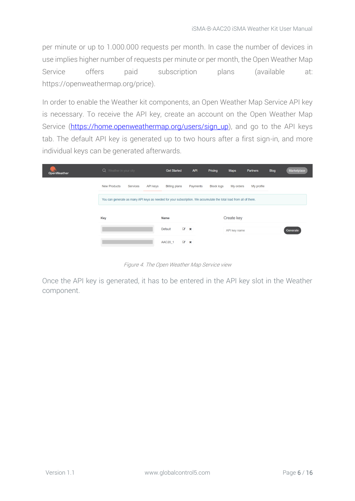per minute or up to 1.000.000 requests per month. In case the number of devices in use implies higher number of requests per minute or per month, the Open Weather Map Service offers paid subscription plans (available at: https://openweathermap.org/price).

In order to enable the Weather kit components, an Open Weather Map Service API key is necessary. To receive the API key, create an account on the Open Weather Map Service [\(https://home.openweathermap.org/users/sign\\_up\)](https://home.openweathermap.org/users/sign_up), and go to the API keys tab. The default API key is generated up to two hours after a first sign-in, and more individual keys can be generated afterwards.

| <b>OpenWeather</b> | Q Weather in your city |                 | <b>Get Started</b>                                                                                                |            | <b>API</b><br>Pricing | <b>Maps</b>                    | Partners   | <b>Blog</b> | Marketplace |
|--------------------|------------------------|-----------------|-------------------------------------------------------------------------------------------------------------------|------------|-----------------------|--------------------------------|------------|-------------|-------------|
|                    | <b>New Products</b>    | <b>Services</b> | <b>API keys</b><br><b>Billing plans</b>                                                                           |            | Payments              | <b>Block logs</b><br>My orders | My profile |             |             |
|                    |                        |                 | You can generate as many API keys as needed for your subscription. We accumulate the total load from all of them. |            |                       |                                |            |             |             |
|                    | Key                    |                 | <b>Name</b>                                                                                                       |            |                       | Create key                     |            |             |             |
|                    |                        |                 | <b>Default</b>                                                                                                    | $\alpha$ x |                       | API key name                   |            |             | Generate    |
|                    |                        |                 | AAC20_1                                                                                                           | $\alpha$ x |                       |                                |            |             |             |

Figure 4. The Open Weather Map Service view

Once the API key is generated, it has to be entered in the API key slot in the Weather component.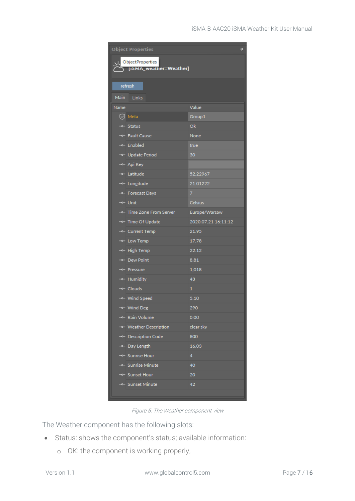| <b>Object Properties</b><br>単 |                         |                     |  |  |  |  |
|-------------------------------|-------------------------|---------------------|--|--|--|--|
|                               | ObjectProperties        |                     |  |  |  |  |
|                               | [ISMA_weather::Weather] |                     |  |  |  |  |
|                               | refresh                 |                     |  |  |  |  |
| Main                          | Links                   |                     |  |  |  |  |
| Name                          |                         | Value               |  |  |  |  |
|                               | $\oslash$ Meta          | Group1              |  |  |  |  |
|                               | -o- Status              | Ok                  |  |  |  |  |
|                               | -o- Fault Cause         | None                |  |  |  |  |
|                               | -o- Enabled             | true                |  |  |  |  |
|                               | -o- Update Period       | 30                  |  |  |  |  |
|                               | -- Api Key              |                     |  |  |  |  |
|                               | -o- Latitude            | 52.22967            |  |  |  |  |
|                               | -o- Longitude           | 21.01222            |  |  |  |  |
|                               | -o- Forecast Days       | 7                   |  |  |  |  |
|                               | -- Unit                 | Celsius             |  |  |  |  |
|                               | → Time Zone From Server | Europe/Warsaw       |  |  |  |  |
|                               | -- Time Of Update       | 2020.07.21 16:11:12 |  |  |  |  |
|                               | -- Current Temp         | 21.95               |  |  |  |  |
|                               | -o- Low Temp            | 17.78               |  |  |  |  |
|                               | -o- High Temp           | 22.12               |  |  |  |  |
|                               | ⊸ Dew Point             | 8.81                |  |  |  |  |
|                               | - Pressure              | 1,018               |  |  |  |  |
|                               |                         | 43                  |  |  |  |  |
|                               | - Humidity              |                     |  |  |  |  |
|                               | -- Clouds               | 1                   |  |  |  |  |
|                               | - Wind Speed            | 5.10                |  |  |  |  |
|                               | -- Wind Deg             | 290                 |  |  |  |  |
|                               | -o- Rain Volume         | 0.00                |  |  |  |  |
|                               | -o- Weather Description | clear sky           |  |  |  |  |
|                               | -o- Description Code    | 800                 |  |  |  |  |
|                               | -o- Day Length          | 16.03               |  |  |  |  |
|                               | -o- Sunrise Hour        | 4                   |  |  |  |  |
|                               | - Sunrise Minute        | 40                  |  |  |  |  |
|                               | -o- Sunset Hour         | 20                  |  |  |  |  |
|                               | ⊸ Sunset Minute         | 42                  |  |  |  |  |
|                               |                         |                     |  |  |  |  |

Figure 5. The Weather component view

The Weather component has the following slots:

- Status: shows the component's status; available information:
	- o OK: the component is working properly,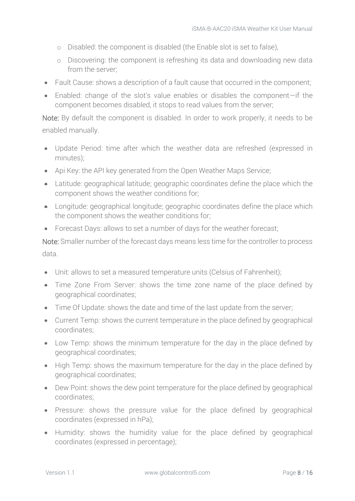- o Disabled: the component is disabled (the Enable slot is set to false),
- o Discovering: the component is refreshing its data and downloading new data from the server;
- Fault Cause: shows a description of a fault cause that occurred in the component;
- Enabled: change of the slot's value enables or disables the component—if the component becomes disabled, it stops to read values from the server;

Note: By default the component is disabled. In order to work properly, it needs to be enabled manually.

- Update Period: time after which the weather data are refreshed (expressed in minutes);
- Api Key: the API key generated from the Open Weather Maps Service;
- Latitude: geographical latitude; geographic coordinates define the place which the component shows the weather conditions for;
- Longitude: geographical longitude; geographic coordinates define the place which the component shows the weather conditions for;
- Forecast Days: allows to set a number of days for the weather forecast;

Note: Smaller number of the forecast days means less time for the controller to process data.

- Unit: allows to set a measured temperature units (Celsius of Fahrenheit);
- Time Zone From Server: shows the time zone name of the place defined by geographical coordinates;
- Time Of Update: shows the date and time of the last update from the server;
- Current Temp: shows the current temperature in the place defined by geographical coordinates;
- Low Temp: shows the minimum temperature for the day in the place defined by geographical coordinates;
- High Temp: shows the maximum temperature for the day in the place defined by geographical coordinates;
- Dew Point: shows the dew point temperature for the place defined by geographical coordinates;
- Pressure: shows the pressure value for the place defined by geographical coordinates (expressed in hPa);
- Humidity: shows the humidity value for the place defined by geographical coordinates (expressed in percentage);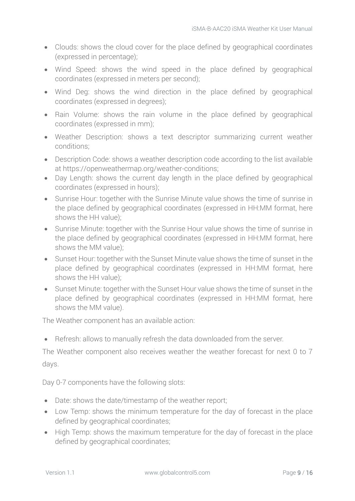- Clouds: shows the cloud cover for the place defined by geographical coordinates (expressed in percentage);
- Wind Speed: shows the wind speed in the place defined by geographical coordinates (expressed in meters per second);
- Wind Deg: shows the wind direction in the place defined by geographical coordinates (expressed in degrees);
- Rain Volume: shows the rain volume in the place defined by geographical coordinates (expressed in mm);
- Weather Description: shows a text descriptor summarizing current weather conditions;
- Description Code: shows a weather description code according to the list available at [https://openweathermap.org/weather-conditions;](https://openweathermap.org/weather-conditions)
- Day Length: shows the current day length in the place defined by geographical coordinates (expressed in hours);
- Sunrise Hour: together with the Sunrise Minute value shows the time of sunrise in the place defined by geographical coordinates (expressed in HH:MM format, here shows the HH value);
- Sunrise Minute: together with the Sunrise Hour value shows the time of sunrise in the place defined by geographical coordinates (expressed in HH:MM format, here shows the MM value);
- Sunset Hour: together with the Sunset Minute value shows the time of sunset in the place defined by geographical coordinates (expressed in HH:MM format, here shows the HH value);
- Sunset Minute: together with the Sunset Hour value shows the time of sunset in the place defined by geographical coordinates (expressed in HH:MM format, here shows the MM value).

The Weather component has an available action:

• Refresh: allows to manually refresh the data downloaded from the server.

The Weather component also receives weather the weather forecast for next 0 to 7 days.

Day 0-7 components have the following slots:

- Date: shows the date/timestamp of the weather report;
- Low Temp: shows the minimum temperature for the day of forecast in the place defined by geographical coordinates;
- High Temp: shows the maximum temperature for the day of forecast in the place defined by geographical coordinates;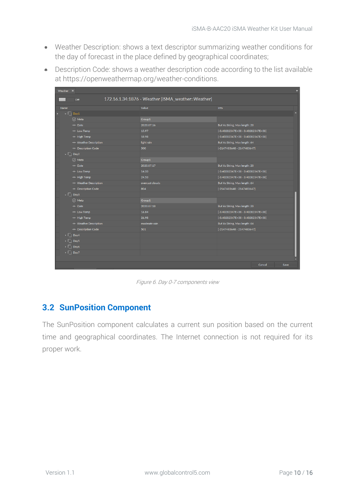- Weather Description: shows a text descriptor summarizing weather conditions for the day of forecast in the place defined by geographical coordinates;
- Description Code: shows a weather description code according to the list available at [https://openweathermap.org/weather-conditions.](https://openweathermap.org/weather-conditions)

| Weather X |                                                          |                                                    |                                      |        | ٠    |
|-----------|----------------------------------------------------------|----------------------------------------------------|--------------------------------------|--------|------|
|           | Off                                                      | 172.16.1.34:1876 - Weather [iSMA_weather::Weather] |                                      |        |      |
| Name      |                                                          | Value                                              | Info                                 |        |      |
|           | $\overline{\phantom{a}}$ $\overline{\phantom{a}}$ Day1   |                                                    |                                      |        |      |
|           | $\odot$ Meta                                             | Group1                                             |                                      |        |      |
|           | $\rightarrow$ Date                                       | 2020.07.16                                         | Buf As String, Max length: 20        |        |      |
|           | -o- Low Temp                                             | 15.97                                              | $[-3.40282347E+38 - 3.40282347E+38]$ |        |      |
|           | -- High Temp                                             | 18.98                                              | $[-3.40282347E+38 - 3.40282347E+38]$ |        |      |
|           | -• Weather Description                                   | light rain                                         | Buf As String, Max length: 64        |        |      |
|           | -• Description Code                                      | 500                                                | $[-2147483648 - 2147483647]$         |        |      |
|           | $\mathbf{F}$   Day2                                      |                                                    |                                      |        |      |
|           | $\oslash$ Meta                                           | Group1                                             |                                      |        |      |
|           | $ -$ Date                                                | 2020.07.17                                         | Buf As String, Max length: 20        |        |      |
|           | -- Low Temp                                              | 14.33                                              | $[-3.40282347E+38 - 3.40282347E+38]$ |        |      |
|           | -- High Temp                                             | 24.53                                              | $[-3.40282347E+38 - 3.40282347E+38]$ |        |      |
|           | -o- Weather Description                                  | overcast clouds                                    | Buf As String, Max length: 64        |        |      |
|           | - <sup>o-</sup> Description Code                         | 804                                                | $[-2147483648 - 2147483647]$         |        |      |
|           | $\overline{\phantom{a}}$ $\overline{\phantom{a}}$   Day3 |                                                    |                                      |        |      |
|           | $\oslash$ Meta                                           | Group1                                             |                                      |        |      |
|           | $ -$ Date                                                | 2020.07.18                                         | Buf As String, Max length: 20        |        |      |
|           | -o- Low Temp                                             | 16.84                                              | $[-3.40282347E+38 - 3.40282347E+38]$ |        |      |
|           | -o- High Temp                                            | 26.98                                              | $[-3.40282347E+38 - 3.40282347E+38]$ |        |      |
|           | -o- Weather Description                                  | moderate rain                                      | Buf As String, Max length: 64        |        |      |
|           | -- Description Code                                      | 501                                                | $[-2147483648 - 2147483647]$         |        |      |
|           | $\triangleright$ $\lceil \cdot \rceil$ Day4              |                                                    |                                      |        |      |
|           | $\triangleright$ $\blacksquare$ Day5                     |                                                    |                                      |        |      |
|           | $\triangleright$   Day6                                  |                                                    |                                      |        |      |
|           | $\triangleright$ $\Box$ Day7                             |                                                    |                                      |        |      |
|           |                                                          |                                                    |                                      |        |      |
|           |                                                          |                                                    |                                      | Cancel | Save |

Figure 6. Day 0-7 components view

#### <span id="page-9-0"></span>**3.2 SunPosition Component**

The SunPosition component calculates a current sun position based on the current time and geographical coordinates. The Internet connection is not required for its proper work.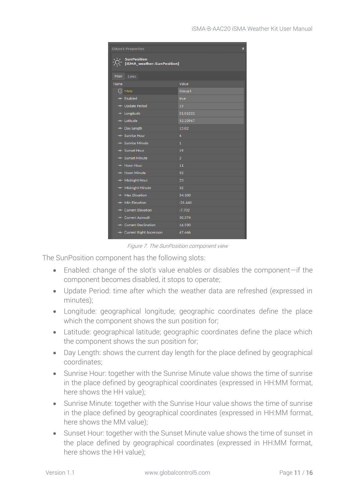|             | <b>Object Properties</b><br>$\mathbf{\mathbf{\Pi}}$ |                |  |  |  |
|-------------|-----------------------------------------------------|----------------|--|--|--|
|             | <b>SunPosition</b><br>[iSMA_weather::SunPosition]   |                |  |  |  |
| <b>Main</b> | Links                                               |                |  |  |  |
| Name        |                                                     | Value          |  |  |  |
|             | $\oslash$ Meta                                      | Group1         |  |  |  |
|             | -o- Enabled                                         | true           |  |  |  |
|             | -o- Update Period                                   | 15             |  |  |  |
|             | -o- Longitude                                       | 21.01222       |  |  |  |
|             | -o- Latitude                                        | 52.22967       |  |  |  |
|             | -o- Day Length                                      | 15.02          |  |  |  |
|             | -o- Sunrise Hour                                    | $\overline{4}$ |  |  |  |
|             | -o- Sunrise Minute                                  | $\mathbf{1}$   |  |  |  |
|             | -o- Sunset Hour                                     | 19             |  |  |  |
|             | -o- Sunset Minute                                   | $\overline{2}$ |  |  |  |
|             | -o- Noon Hour                                       | 11             |  |  |  |
|             | -e- Noon Minute                                     | 32             |  |  |  |
|             | -- Midnight Hour                                    | 23             |  |  |  |
|             | -o- Midnight Minute                                 | 32             |  |  |  |
|             | -o- Max Elevation                                   | 54.100         |  |  |  |
|             | -o- Min Elevation                                   | $-21.440$      |  |  |  |
|             | -o- Current Elevation                               | $-7.702$       |  |  |  |
|             | -o- Current Azimuth                                 | 50.374         |  |  |  |
|             | -o- Current Declination                             | 16.330         |  |  |  |
|             | -o- Current Right Ascension                         | 47.446         |  |  |  |

Figure 7. The SunPosition component view

The SunPosition component has the following slots:

- Enabled: change of the slot's value enables or disables the component—if the component becomes disabled, it stops to operate;
- Update Period: time after which the weather data are refreshed (expressed in minutes);
- Longitude: geographical longitude; geographic coordinates define the place which the component shows the sun position for;
- Latitude: geographical latitude; geographic coordinates define the place which the component shows the sun position for;
- Day Length: shows the current day length for the place defined by geographical coordinates;
- Sunrise Hour: together with the Sunrise Minute value shows the time of sunrise in the place defined by geographical coordinates (expressed in HH:MM format, here shows the HH value);
- Sunrise Minute: together with the Sunrise Hour value shows the time of sunrise in the place defined by geographical coordinates (expressed in HH:MM format, here shows the MM value);
- Sunset Hour: together with the Sunset Minute value shows the time of sunset in the place defined by geographical coordinates (expressed in HH:MM format, here shows the HH value);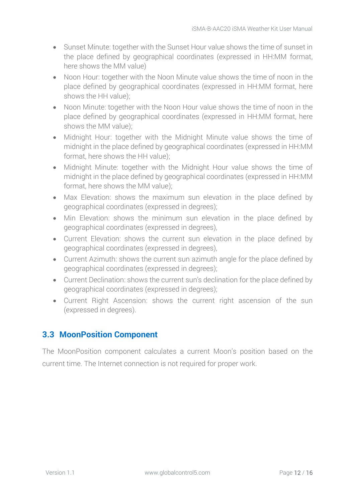- Sunset Minute: together with the Sunset Hour value shows the time of sunset in the place defined by geographical coordinates (expressed in HH:MM format, here shows the MM value)
- Noon Hour: together with the Noon Minute value shows the time of noon in the place defined by geographical coordinates (expressed in HH:MM format, here shows the HH value);
- Noon Minute: together with the Noon Hour value shows the time of noon in the place defined by geographical coordinates (expressed in HH:MM format, here shows the MM value);
- Midnight Hour: together with the Midnight Minute value shows the time of midnight in the place defined by geographical coordinates (expressed in HH:MM format, here shows the HH value);
- Midnight Minute: together with the Midnight Hour value shows the time of midnight in the place defined by geographical coordinates (expressed in HH:MM format, here shows the MM value);
- Max Elevation: shows the maximum sun elevation in the place defined by geographical coordinates (expressed in degrees);
- Min Elevation: shows the minimum sun elevation in the place defined by geographical coordinates (expressed in degrees),
- Current Elevation: shows the current sun elevation in the place defined by geographical coordinates (expressed in degrees),
- Current Azimuth: shows the current sun azimuth angle for the place defined by geographical coordinates (expressed in degrees);
- Current Declination: shows the current sun's declination for the place defined by geographical coordinates (expressed in degrees);
- Current Right Ascension: shows the current right ascension of the sun (expressed in degrees).

### <span id="page-11-0"></span>**3.3 MoonPosition Component**

The MoonPosition component calculates a current Moon's position based on the current time. The Internet connection is not required for proper work.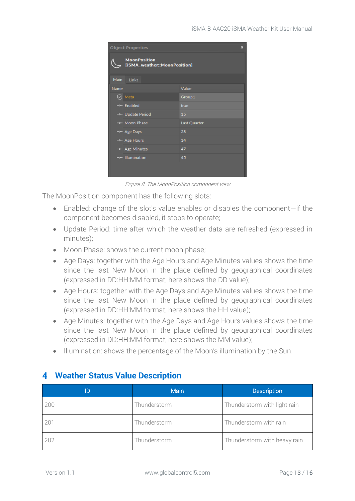|             | <b>Object Properties</b><br>л                       |              |  |  |  |
|-------------|-----------------------------------------------------|--------------|--|--|--|
|             | <b>MoonPosition</b><br>[iSMA_weather::MoonPosition] |              |  |  |  |
| <b>Main</b> | Links                                               |              |  |  |  |
| Name        |                                                     | Value        |  |  |  |
|             | $\oslash$ Meta                                      | Group1       |  |  |  |
|             | -o- Enabled                                         | true         |  |  |  |
|             | - Update Period                                     | 15           |  |  |  |
|             | -o- Moon Phase                                      | Last Quarter |  |  |  |
|             | -o- Age Days                                        | 23           |  |  |  |
|             | -o- Age Hours                                       | 14           |  |  |  |
|             | -o- Age Minutes                                     | 47           |  |  |  |
|             | -o- Illumination                                    | 45           |  |  |  |
|             |                                                     |              |  |  |  |

Figure 8. The MoonPosition component view

The MoonPosition component has the following slots:

- Enabled: change of the slot's value enables or disables the component—if the component becomes disabled, it stops to operate;
- Update Period: time after which the weather data are refreshed (expressed in minutes);
- Moon Phase: shows the current moon phase;
- Age Days: together with the Age Hours and Age Minutes values shows the time since the last New Moon in the place defined by geographical coordinates (expressed in DD:HH:MM format, here shows the DD value);
- Age Hours: together with the Age Days and Age Minutes values shows the time since the last New Moon in the place defined by geographical coordinates (expressed in DD:HH:MM format, here shows the HH value);
- Age Minutes: together with the Age Days and Age Hours values shows the time since the last New Moon in the place defined by geographical coordinates (expressed in DD:HH:MM format, here shows the MM value);
- Illumination: shows the percentage of the Moon's illumination by the Sun.

| ID  | <b>Main</b>  | <b>Description</b>           |
|-----|--------------|------------------------------|
| 200 | Thunderstorm | Thunderstorm with light rain |
| 201 | Thunderstorm | Thunderstorm with rain       |
| 202 | Thunderstorm | Thunderstorm with heavy rain |

#### <span id="page-12-0"></span>**Weather Status Value Description**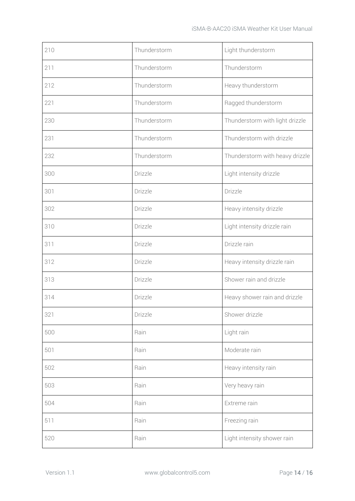| 210 | Thunderstorm | Light thunderstorm              |
|-----|--------------|---------------------------------|
| 211 | Thunderstorm | Thunderstorm                    |
| 212 | Thunderstorm | Heavy thunderstorm              |
| 221 | Thunderstorm | Ragged thunderstorm             |
| 230 | Thunderstorm | Thunderstorm with light drizzle |
| 231 | Thunderstorm | Thunderstorm with drizzle       |
| 232 | Thunderstorm | Thunderstorm with heavy drizzle |
| 300 | Drizzle      | Light intensity drizzle         |
| 301 | Drizzle      | Drizzle                         |
| 302 | Drizzle      | Heavy intensity drizzle         |
| 310 | Drizzle      | Light intensity drizzle rain    |
| 311 | Drizzle      | Drizzle rain                    |
| 312 | Drizzle      | Heavy intensity drizzle rain    |
| 313 | Drizzle      | Shower rain and drizzle         |
| 314 | Drizzle      | Heavy shower rain and drizzle   |
| 321 | Drizzle      | Shower drizzle                  |
| 500 | Rain         | Light rain                      |
| 501 | Rain         | Moderate rain                   |
| 502 | Rain         | Heavy intensity rain            |
| 503 | Rain         | Very heavy rain                 |
| 504 | Rain         | Extreme rain                    |
| 511 | Rain         | Freezing rain                   |
| 520 | Rain         | Light intensity shower rain     |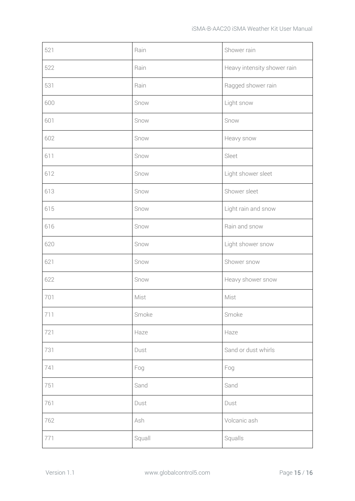| 521 | Rain   | Shower rain                 |
|-----|--------|-----------------------------|
| 522 | Rain   | Heavy intensity shower rain |
| 531 | Rain   | Ragged shower rain          |
| 600 | Snow   | Light snow                  |
| 601 | Snow   | Snow                        |
| 602 | Snow   | Heavy snow                  |
| 611 | Snow   | Sleet                       |
| 612 | Snow   | Light shower sleet          |
| 613 | Snow   | Shower sleet                |
| 615 | Snow   | Light rain and snow         |
| 616 | Snow   | Rain and snow               |
| 620 | Snow   | Light shower snow           |
| 621 | Snow   | Shower snow                 |
| 622 | Snow   | Heavy shower snow           |
| 701 | Mist   | Mist                        |
| 711 | Smoke  | Smoke                       |
| 721 | Haze   | Haze                        |
| 731 | Dust   | Sand or dust whirls         |
| 741 | Fog    | Fog                         |
| 751 | Sand   | Sand                        |
| 761 | Dust   | Dust                        |
| 762 | Ash    | Volcanic ash                |
| 771 | Squall | Squalls                     |